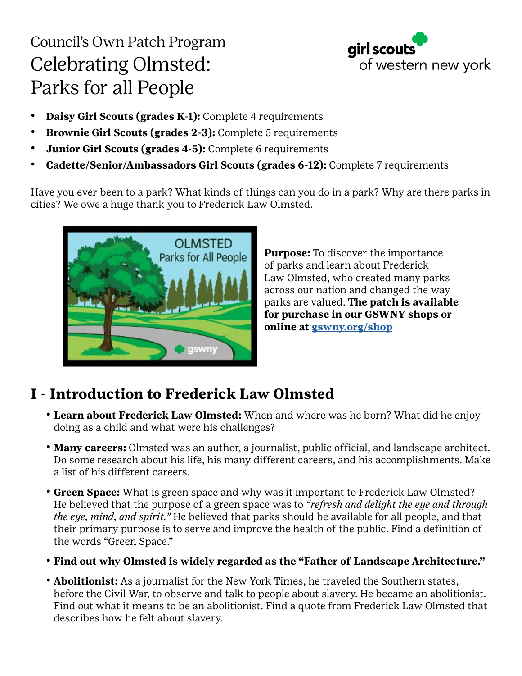# Council's Own Patch Program Celebrating Olmsted: Parks for all People



- **• Daisy Girl Scouts (grades K-1):** Complete 4 requirements
- **• Brownie Girl Scouts (grades 2-3):** Complete 5 requirements
- **• Junior Girl Scouts (grades 4-5):** Complete 6 requirements
- **• Cadette/Senior/Ambassadors Girl Scouts (grades 6-12):** Complete 7 requirements

Have you ever been to a park? What kinds of things can you do in a park? Why are there parks in cities? We owe a huge thank you to Frederick Law Olmsted.



**Purpose:** To discover the importance of parks and learn about Frederick Law Olmsted, who created many parks across our nation and changed the way parks are valued. **The patch is available for purchase in our GSWNY shops or online at [gswny.org/shop](http://www.gswny.org/shop)**

## **I - Introduction to Frederick Law Olmsted**

- **• Learn about Frederick Law Olmsted:** When and where was he born? What did he enjoy doing as a child and what were his challenges?
- **• Many careers:** Olmsted was an author, a journalist, public official, and landscape architect. Do some research about his life, his many different careers, and his accomplishments. Make a list of his different careers.
- **• Green Space:** What is green space and why was it important to Frederick Law Olmsted? He believed that the purpose of a green space was to *"refresh and delight the eye and through the eye, mind, and spirit."* He believed that parks should be available for all people, and that their primary purpose is to serve and improve the health of the public. Find a definition of the words "Green Space."
- **• Find out why Olmsted is widely regarded as the "Father of Landscape Architecture."**
- **• Abolitionist:** As a journalist for the New York Times, he traveled the Southern states, before the Civil War, to observe and talk to people about slavery. He became an abolitionist. Find out what it means to be an abolitionist. Find a quote from Frederick Law Olmsted that describes how he felt about slavery.